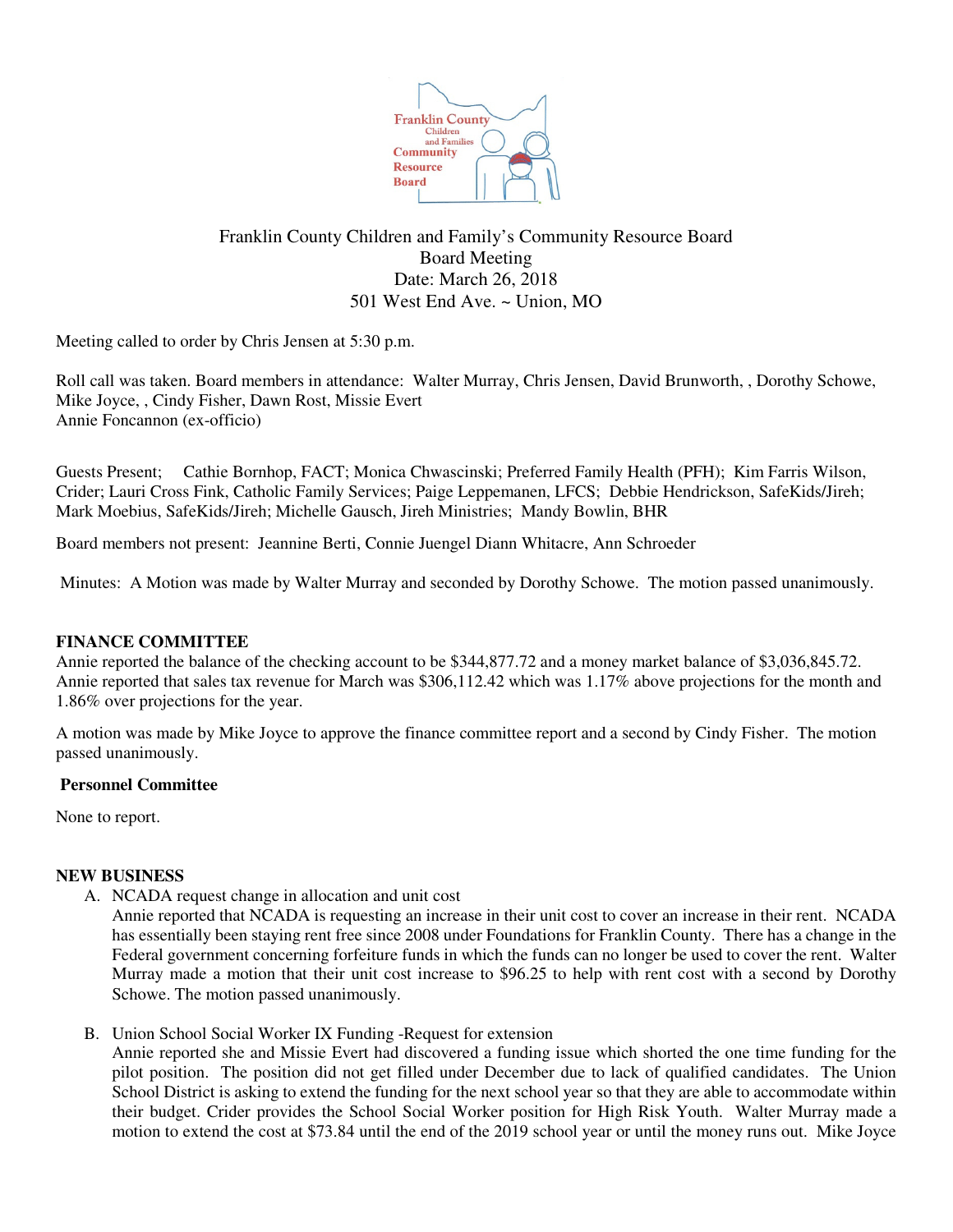

# Franklin County Children and Family's Community Resource Board Board Meeting Date: March 26, 2018 501 West End Ave. ~ Union, MO

Meeting called to order by Chris Jensen at 5:30 p.m.

Roll call was taken. Board members in attendance: Walter Murray, Chris Jensen, David Brunworth, , Dorothy Schowe, Mike Joyce, , Cindy Fisher, Dawn Rost, Missie Evert Annie Foncannon (ex-officio)

Guests Present; Cathie Bornhop, FACT; Monica Chwascinski; Preferred Family Health (PFH); Kim Farris Wilson, Crider; Lauri Cross Fink, Catholic Family Services; Paige Leppemanen, LFCS; Debbie Hendrickson, SafeKids/Jireh; Mark Moebius, SafeKids/Jireh; Michelle Gausch, Jireh Ministries; Mandy Bowlin, BHR

Board members not present: Jeannine Berti, Connie Juengel Diann Whitacre, Ann Schroeder

Minutes: A Motion was made by Walter Murray and seconded by Dorothy Schowe. The motion passed unanimously.

## **FINANCE COMMITTEE**

Annie reported the balance of the checking account to be \$344,877.72 and a money market balance of \$3,036,845.72. Annie reported that sales tax revenue for March was \$306,112.42 which was 1.17% above projections for the month and 1.86% over projections for the year.

A motion was made by Mike Joyce to approve the finance committee report and a second by Cindy Fisher. The motion passed unanimously.

#### **Personnel Committee**

None to report.

#### **NEW BUSINESS**

- A. NCADA request change in allocation and unit cost
	- Annie reported that NCADA is requesting an increase in their unit cost to cover an increase in their rent. NCADA has essentially been staying rent free since 2008 under Foundations for Franklin County. There has a change in the Federal government concerning forfeiture funds in which the funds can no longer be used to cover the rent. Walter Murray made a motion that their unit cost increase to \$96.25 to help with rent cost with a second by Dorothy Schowe. The motion passed unanimously.
- B. Union School Social Worker IX Funding -Request for extension Annie reported she and Missie Evert had discovered a funding issue which shorted the one time funding for the pilot position. The position did not get filled under December due to lack of qualified candidates. The Union School District is asking to extend the funding for the next school year so that they are able to accommodate within their budget. Crider provides the School Social Worker position for High Risk Youth. Walter Murray made a motion to extend the cost at \$73.84 until the end of the 2019 school year or until the money runs out. Mike Joyce